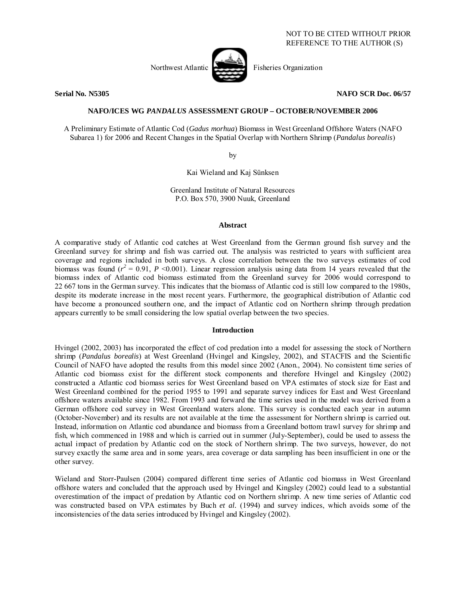

**Serial No. N5305 NAFO SCR Doc. 06/57** 

# **NAFO/ICES WG** *PANDALUS* **ASSESSMENT GROUP – OCTOBER/NOVEMBER 2006**

A Preliminary Estimate of Atlantic Cod (*Gadus morhua*) Biomass in West Greenland Offshore Waters (NAFO Subarea 1) for 2006 and Recent Changes in the Spatial Overlap with Northern Shrimp (*Pandalus borealis*)

by

Kai Wieland and Kaj Sünksen

Greenland Institute of Natural Resources P.O. Box 570, 3900 Nuuk, Greenland

#### **Abstract**

A comparative study of Atlantic cod catches at West Greenland from the German ground fish survey and the Greenland survey for shrimp and fish was carried out. The analysis was restricted to years with sufficient area coverage and regions included in both surveys. A close correlation between the two surveys estimates of cod biomass was found  $(r^2 = 0.91, P \le 0.001)$ . Linear regression analysis using data from 14 years revealed that the biomass index of Atlantic cod biomass estimated from the Greenland survey for 2006 would correspond to 22 667 tons in the German survey. This indicates that the biomass of Atlantic cod is still low compared to the 1980s, despite its moderate increase in the most recent years. Furthermore, the geographical distribution of Atlantic cod have become a pronounced southern one, and the impact of Atlantic cod on Northern shrimp through predation appears currently to be small considering the low spatial overlap between the two species.

# **Introduction**

Hvingel (2002, 2003) has incorporated the effect of cod predation into a model for assessing the stock of Northern shrimp (*Pandalus borealis*) at West Greenland (Hvingel and Kingsley, 2002), and STACFIS and the Scientific Council of NAFO have adopted the results from this model since 2002 (Anon., 2004). No consistent time series of Atlantic cod biomass exist for the different stock components and therefore Hvingel and Kingsley (2002) constructed a Atlantic cod biomass series for West Greenland based on VPA estimates of stock size for East and West Greenland combined for the period 1955 to 1991 and separate survey indices for East and West Greenland offshore waters available since 1982. From 1993 and forward the time series used in the model was derived from a German offshore cod survey in West Greenland waters alone. This survey is conducted each year in autumn (October-November) and its results are not available at the time the assessment for Northern shrimp is carried out. Instead, information on Atlantic cod abundance and biomass from a Greenland bottom trawl survey for shrimp and fish, which commenced in 1988 and which is carried out in summer (July-September), could be used to assess the actual impact of predation by Atlantic cod on the stock of Northern shrimp. The two surveys, however, do not survey exactly the same area and in some years, area coverage or data sampling has been insufficient in one or the other survey.

Wieland and Storr-Paulsen (2004) compared different time series of Atlantic cod biomass in West Greenland offshore waters and concluded that the approach used by Hvingel and Kingsley (2002) could lead to a substantial overestimation of the impact of predation by Atlantic cod on Northern shrimp. A new time series of Atlantic cod was constructed based on VPA estimates by Buch *et al.* (1994) and survey indices, which avoids some of the inconsistencies of the data series introduced by Hvingel and Kingsley (2002).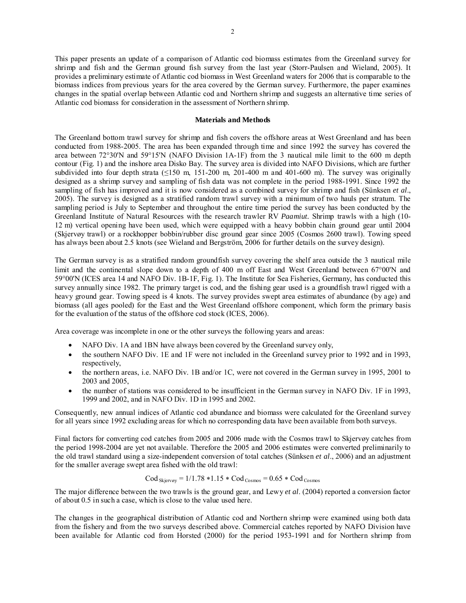This paper presents an update of a comparison of Atlantic cod biomass estimates from the Greenland survey for shrimp and fish and the German ground fish survey from the last year (Storr-Paulsen and Wieland, 2005). It provides a preliminary estimate of Atlantic cod biomass in West Greenland waters for 2006 that is comparable to the biomass indices from previous years for the area covered by the German survey. Furthermore, the paper examines changes in the spatial overlap between Atlantic cod and Northern shrimp and suggests an alternative time series of Atlantic cod biomass for consideration in the assessment of Northern shrimp.

### **Materials and Methods**

The Greenland bottom trawl survey for shrimp and fish covers the offshore areas at West Greenland and has been conducted from 1988-2005. The area has been expanded through time and since 1992 the survey has covered the area between 72°30'N and 59°15'N (NAFO Division 1A-1F) from the 3 nautical mile limit to the 600 m depth contour (Fig. 1) and the inshore area Disko Bay. The survey area is divided into NAFO Divisions, which are further subdivided into four depth strata ( $\leq$ 150 m, 151-200 m, 201-400 m and 401-600 m). The survey was originally designed as a shrimp survey and sampling of fish data was not complete in the period 1988-1991. Since 1992 the sampling of fish has improved and it is now considered as a combined survey for shrimp and fish (Sünksen *et al*., 2005). The survey is designed as a stratified random trawl survey with a minimum of two hauls per stratum. The sampling period is July to September and throughout the entire time period the survey has been conducted by the Greenland Institute of Natural Resources with the research trawler RV *Paamiut.* Shrimp trawls with a high (10- 12 m) vertical opening have been used, which were equipped with a heavy bobbin chain ground gear until 2004 (Skjervøy trawl) or a rockhopper bobbin/rubber disc ground gear since 2005 (Cosmos 2600 trawl). Towing speed has always been about 2.5 knots (see Wieland and Bergström, 2006 for further details on the survey design).

The German survey is as a stratified random groundfish survey covering the shelf area outside the 3 nautical mile limit and the continental slope down to a depth of 400 m off East and West Greenland between 67°00'N and 59°00'N (ICES area 14 and NAFO Div. 1B-1F, Fig. 1). The Institute for Sea Fisheries, Germany, has conducted this survey annually since 1982. The primary target is cod, and the fishing gear used is a groundfish trawl rigged with a heavy ground gear. Towing speed is 4 knots. The survey provides swept area estimates of abundance (by age) and biomass (all ages pooled) for the East and the West Greenland offshore component, which form the primary basis for the evaluation of the status of the offshore cod stock (ICES, 2006).

Area coverage was incomplete in one or the other surveys the following years and areas:

- NAFO Div. 1A and 1BN have always been covered by the Greenland survey only,
- the southern NAFO Div. 1E and 1F were not included in the Greenland survey prior to 1992 and in 1993, respectively,
- the northern areas, i.e. NAFO Div. 1B and/or 1C, were not covered in the German survey in 1995, 2001 to 2003 and 2005,
- the number of stations was considered to be insufficient in the German survey in NAFO Div. 1F in 1993, 1999 and 2002, and in NAFO Div. 1D in 1995 and 2002.

Consequently, new annual indices of Atlantic cod abundance and biomass were calculated for the Greenland survey for all years since 1992 excluding areas for which no corresponding data have been available from both surveys.

Final factors for converting cod catches from 2005 and 2006 made with the Cosmos trawl to Skjervøy catches from the period 1998-2004 are yet not available. Therefore the 2005 and 2006 estimates were converted preliminarily to the old trawl standard using a size-independent conversion of total catches (Sünksen *et al*., 2006) and an adjustment for the smaller average swept area fished with the old trawl:

$$
Cod_{Skjervgy} = 1/1.78 * 1.15 * Cod_{Cosmos} = 0.65 * Cod_{Cosmos}
$$

The major difference between the two trawls is the ground gear, and Lewy *et al*. (2004) reported a conversion factor of about 0.5 in such a case, which is close to the value used here.

The changes in the geographical distribution of Atlantic cod and Northern shrimp were examined using both data from the fishery and from the two surveys described above. Commercial catches reported by NAFO Division have been available for Atlantic cod from Horsted (2000) for the period 1953-1991 and for Northern shrimp from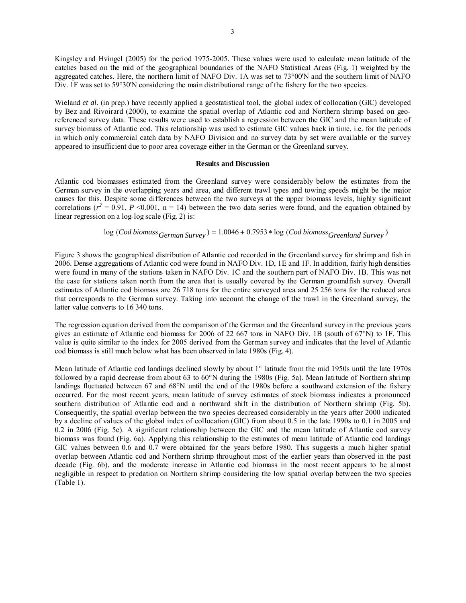Kingsley and Hvingel (2005) for the period 1975-2005. These values were used to calculate mean latitude of the catches based on the mid of the geographical boundaries of the NAFO Statistical Areas (Fig. 1) weighted by the aggregated catches. Here, the northern limit of NAFO Div. 1A was set to 73°00'N and the southern limit of NAFO Div. IF was set to 59°30'N considering the main distributional range of the fishery for the two species.

Wieland *et al.* (in prep.) have recently applied a geostatistical tool, the global index of collocation (GIC) developed by Bez and Rivoirard (2000), to examine the spatial overlap of Atlantic cod and Northern shrimp based on georeferenced survey data. These results were used to establish a regression between the GIC and the mean latitude of survey biomass of Atlantic cod. This relationship was used to estimate GIC values back in time, i.e. for the periods in which only commercial catch data by NAFO Division and no survey data by set were available or the survey appeared to insufficient due to poor area coverage either in the German or the Greenland survey.

## **Results and Discussion**

Atlantic cod biomasses estimated from the Greenland survey were considerably below the estimates from the German survey in the overlapping years and area, and different trawl types and towing speeds might be the major causes for this. Despite some differences between the two surveys at the upper biomass levels, highly significant correlations ( $r^2 = 0.91$ ,  $P \le 0.001$ , n = 14) between the two data series were found, and the equation obtained by linear regression on a log-log scale (Fig. 2) is:

$$
log (Cod \text{ biomass}_{German \, Survey}) = 1.0046 + 0.7953 * log (Cod \, biomass_{Greenland \, Survey})
$$

Figure 3 shows the geographical distribution of Atlantic cod recorded in the Greenland survey for shrimp and fish in 2006. Dense aggregations of Atlantic cod were found in NAFO Div. 1D, 1E and 1F. In addition, fairly high densities were found in many of the stations taken in NAFO Div. 1C and the southern part of NAFO Div. 1B. This was not the case for stations taken north from the area that is usually covered by the German groundfish survey. Overall estimates of Atlantic cod biomass are 26 718 tons for the entire surveyed area and 25 256 tons for the reduced area that corresponds to the German survey. Taking into account the change of the trawl in the Greenland survey, the latter value converts to 16 340 tons.

The regression equation derived from the comparison of the German and the Greenland survey in the previous years gives an estimate of Atlantic cod biomass for 2006 of 22 667 tons in NAFO Div. 1B (south of 67°N) to 1F. This value is quite similar to the index for 2005 derived from the German survey and indicates that the level of Atlantic cod biomass is still much below what has been observed in late 1980s (Fig. 4).

Mean latitude of Atlantic cod landings declined slowly by about 1° latitude from the mid 1950s until the late 1970s followed by a rapid decrease from about 63 to 60°N during the 1980s (Fig. 5a). Mean latitude of Northern shrimp landings fluctuated between 67 and 68°N until the end of the 1980s before a southward extension of the fishery occurred. For the most recent years, mean latitude of survey estimates of stock biomass indicates a pronounced southern distribution of Atlantic cod and a northward shift in the distribution of Northern shrimp (Fig. 5b). Consequently, the spatial overlap between the two species decreased considerably in the years after 2000 indicated by a decline of values of the global index of collocation (GIC) from about 0.5 in the late 1990s to 0.1 in 2005 and 0.2 in 2006 (Fig. 5c). A significant relationship between the GIC and the mean latitude of Atlantic cod survey biomass was found (Fig. 6a). Applying this relationship to the estimates of mean latitude of Atlantic cod landings GIC values between 0.6 and 0.7 were obtained for the years before 1980. This suggests a much higher spatial overlap between Atlantic cod and Northern shrimp throughout most of the earlier years than observed in the past decade (Fig. 6b), and the moderate increase in Atlantic cod biomass in the most recent appears to be almost negligible in respect to predation on Northern shrimp considering the low spatial overlap between the two species (Table 1).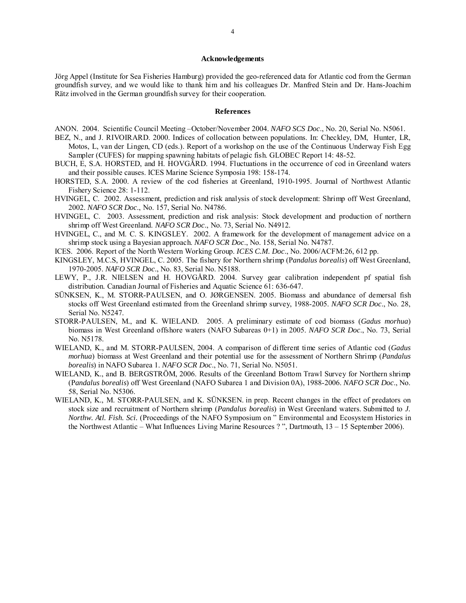### **Acknowledgements**

Jörg Appel (Institute for Sea Fisheries Hamburg) provided the geo-referenced data for Atlantic cod from the German groundfish survey, and we would like to thank him and his colleagues Dr. Manfred Stein and Dr. Hans-Joachim Rätz involved in the German groundfish survey for their cooperation.

### **References**

- ANON. 2004. Scientific Council Meeting –October/November 2004. *NAFO SCS Doc*., No. 20, Serial No. N5061.
- BEZ, N., and J. RIVOIRARD. 2000. Indices of collocation between populations. In: Checkley, DM, Hunter, LR, Motos, L, van der Lingen, CD (eds.). Report of a workshop on the use of the Continuous Underway Fish Egg Sampler (CUFES) for mapping spawning habitats of pelagic fish. GLOBEC Report 14: 48-52.
- BUCH, E, S.A. HORSTED, and H. HOVGÅRD. 1994. Fluctuations in the occurrence of cod in Greenland waters and their possible causes. ICES Marine Science Symposia 198: 158-174.
- HORSTED, S.A. 2000. A review of the cod fisheries at Greenland, 1910-1995. Journal of Northwest Atlantic Fishery Science 28: 1-112.
- HVINGEL, C. 2002. Assessment, prediction and risk analysis of stock development: Shrimp off West Greenland, 2002. *NAFO SCR Doc*., No. 157, Serial No. N4786.
- HVINGEL, C. 2003. Assessment, prediction and risk analysis: Stock development and production of northern shrimp off West Greenland. *NAFO SCR Doc*., No. 73, Serial No. N4912.
- HVINGEL, C., and M. C. S. KINGSLEY. 2002. A framework for the development of management advice on a shrimp stock using a Bayesian approach. *NAFO SCR Doc*., No. 158, Serial No. N4787.
- ICES. 2006. Report of the North Western Working Group. *ICES C.M. Doc*., No. 2006/ACFM:26, 612 pp.
- KINGSLEY, M.C.S, HVINGEL, C. 2005. The fishery for Northern shrimp (P*andalus borealis*) off West Greenland, 1970-2005. *NAFO SCR Doc*., No. 83, Serial No. N5188.
- LEWY, P., J.R. NIELSEN and H. HOVGÅRD. 2004. Survey gear calibration independent pf spatial fish distribution. Canadian Journal of Fisheries and Aquatic Science 61: 636-647.
- SÜNKSEN, K., M. STORR-PAULSEN, and O. JØRGENSEN. 2005. Biomass and abundance of demersal fish stocks off West Greenland estimated from the Greenland shrimp survey, 1988-2005. *NAFO SCR Doc*., No. 28, Serial No. N5247.
- STORR-PAULSEN, M., and K. WIELAND. 2005. A preliminary estimate of cod biomass (*Gadus morhua*) biomass in West Greenland offshore waters (NAFO Subareas 0+1) in 2005. *NAFO SCR Doc*., No. 73, Serial No. N5178.
- WIELAND, K., and M. STORR-PAULSEN, 2004. A comparison of different time series of Atlantic cod (*Gadus morhua*) biomass at West Greenland and their potential use for the assessment of Northern Shrimp (*Pandalus borealis*) in NAFO Subarea 1. *NAFO SCR Doc*., No. 71, Serial No. N5051.
- WIELAND, K., and B. BERGSTRÖM, 2006. Results of the Greenland Bottom Trawl Survey for Northern shrimp (P*andalus borealis*) off West Greenland (NAFO Subarea 1 and Division 0A), 1988-2006. *NAFO SCR Doc*., No. 58, Serial No. N5306.
- WIELAND, K., M. STORR-PAULSEN, and K. SÜNKSEN. in prep. Recent changes in the effect of predators on stock size and recruitment of Northern shrimp (*Pandalus borealis*) in West Greenland waters. Submitted to *J. Northw. Atl. Fish. Sci.* (Proceedings of the NAFO Symposium on " Environmental and Ecosystem Histories in the Northwest Atlantic – What Influences Living Marine Resources ? ", Dartmouth, 13 – 15 September 2006).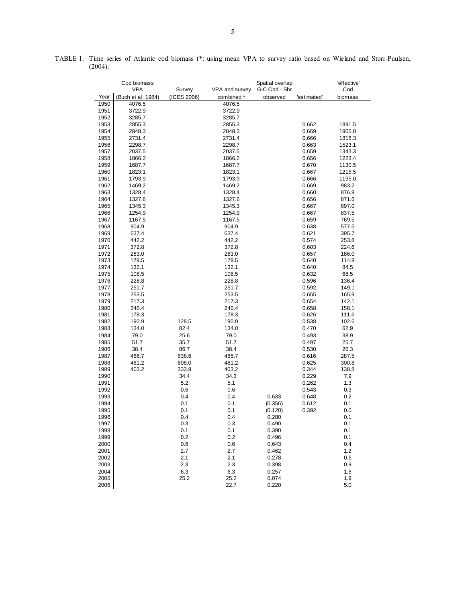|              | Cod biomass                  | <b>VPA</b><br>VPA and survey<br>Survey |                  | Spatial overlap<br>GIC Cod - Shr |                | 'effective'<br>Cod |
|--------------|------------------------------|----------------------------------------|------------------|----------------------------------|----------------|--------------------|
| Year         |                              |                                        |                  |                                  |                |                    |
|              | (Buch et al. 1984)<br>4076.5 | (ICES 2006)                            | combined *       | observed                         | 'estimated'    | biomass            |
| 1950         |                              |                                        | 4076.5           |                                  |                |                    |
| 1951         | 3722.9                       |                                        | 3722.9           |                                  |                |                    |
| 1952         | 3285.7                       |                                        | 3285.7           |                                  |                |                    |
| 1953<br>1954 | 2855.3<br>2848.3             |                                        | 2855.3           |                                  | 0.662<br>0.669 | 1891.5<br>1905.0   |
| 1955         | 2731.4                       |                                        | 2848.3           |                                  | 0.666          |                    |
| 1956         | 2298.7                       |                                        | 2731.4<br>2298.7 |                                  | 0.663          | 1818.3<br>1523.1   |
| 1957         | 2037.5                       |                                        | 2037.5           |                                  | 0.659          | 1343.3             |
| 1958         | 1866.2                       |                                        | 1866.2           |                                  | 0.656          | 1223.4             |
| 1959         | 1687.7                       |                                        | 1687.7           |                                  | 0.670          | 1130.5             |
| 1960         | 1823.1                       |                                        | 1823.1           |                                  | 0.667          | 1215.5             |
| 1961         | 1793.9                       |                                        | 1793.9           |                                  | 0.666          | 1195.0             |
| 1962         | 1469.2                       |                                        | 1469.2           |                                  | 0.669          | 983.2              |
| 1963         | 1328.4                       |                                        | 1328.4           |                                  | 0.660          | 876.9              |
| 1964         | 1327.6                       |                                        | 1327.6           |                                  | 0.656          | 871.6              |
| 1965         | 1345.3                       |                                        | 1345.3           |                                  | 0.667          | 897.0              |
| 1966         | 1254.9                       |                                        | 1254.9           |                                  | 0.667          | 837.5              |
| 1967         | 1167.5                       |                                        | 1167.5           |                                  | 0.659          | 769.5              |
| 1968         | 904.9                        |                                        | 904.9            |                                  | 0.638          | 577.5              |
| 1969         | 637.4                        |                                        | 637.4            |                                  | 0.621          | 395.7              |
| 1970         | 442.2                        |                                        | 442.2            |                                  | 0.574          | 253.8              |
| 1971         | 372.8                        |                                        | 372.8            |                                  | 0.603          | 224.6              |
| 1972         | 283.0                        |                                        | 283.0            |                                  | 0.657          | 186.0              |
| 1973         | 179.5                        |                                        | 179.5            |                                  | 0.640          | 114.9              |
| 1974         | 132.1                        |                                        | 132.1            |                                  | 0.640          | 84.5               |
| 1975         | 108.5                        |                                        | 108.5            |                                  | 0.632          | 68.5               |
| 1976         | 228.8                        |                                        | 228.8            |                                  | 0.596          | 136.4              |
| 1977         | 251.7                        |                                        | 251.7            |                                  | 0.592          | 149.1              |
| 1978         | 253.5                        |                                        | 253.5            |                                  | 0.655          | 165.9              |
| 1979         | 217.3                        |                                        | 217.3            |                                  | 0.654          | 142.1              |
| 1980         | 240.4                        |                                        | 240.4            |                                  | 0.658          | 158.1              |
| 1981         | 178.3                        |                                        | 178.3            |                                  | 0.626          | 111.6              |
| 1982<br>1983 | 190.9<br>134.0               | 128.5<br>82.4                          | 190.9            |                                  | 0.538<br>0.470 | 102.6<br>62.9      |
| 1984         | 79.0                         | 25.6                                   | 134.0<br>79.0    |                                  | 0.493          | 38.9               |
| 1985         | 51.7                         | 35.7                                   | 51.7             |                                  | 0.497          | 25.7               |
| 1986         | 38.4                         | 86.7                                   | 38.4             |                                  | 0.530          | 20.3               |
| 1987         | 466.7                        | 638.6                                  | 466.7            |                                  | 0.616          | 287.5              |
| 1988         | 481.2                        | 608.0                                  | 481.2            |                                  | 0.625          | 300.8              |
| 1989         | 403.2                        | 333.9                                  | 403.2            |                                  | 0.344          | 138.8              |
| 1990         |                              | 34.4                                   | 34.3             |                                  | 0.229          | 7.9                |
| 1991         |                              | 5.2                                    | 5.1              |                                  | 0.262          | 1.3                |
| 1992         |                              | 0.6                                    | 0.6              |                                  | 0.543          | 0.3                |
| 1993         |                              | 0.4                                    | 0.4              | 0.633                            | 0.648          | 0.2                |
| 1994         |                              | 0.1                                    | 0.1              | (0.356)                          | 0.612          | 0.1                |
| 1995         |                              | 0.1                                    | 0.1              | (0.120)                          | 0.392          | 0.0                |
| 1996         |                              | 0.4                                    | 0.4              | 0.280                            |                | 0.1                |
| 1997         |                              | 0.3                                    | 0.3              | 0.490                            |                | 0.1                |
| 1998         |                              | 0.1                                    | 0.1              | 0.390                            |                | 0.1                |
| 1999         |                              | 0.2                                    | 0.2              | 0.496                            |                | 0.1                |
| 2000         |                              | 0.6                                    | 0.6              | 0.643                            |                | 0.4                |
| 2001         |                              | 2.7                                    | 2.7              | 0.462                            |                | 1.2                |
| 2002         |                              | 2.1                                    | 2.1              | 0.278                            |                | 0.6                |
| 2003         |                              | 2.3                                    | 2.3              | 0.398                            |                | 0.9                |
| 2004         |                              | 6.3                                    | 6.3              | 0.257                            |                | 1.6                |
| 2005         |                              | 25.2                                   | 25.2             | 0.074                            |                | 1.9                |
| 2006         |                              |                                        | 22.7             | 0.220                            |                | 5.0                |

| TABLE 1. Time series of Atlantic cod biomass (*: using mean VPA to survey ratio based on Wieland and Storr-Paulsen, |  |  |  |  |  |  |  |
|---------------------------------------------------------------------------------------------------------------------|--|--|--|--|--|--|--|
| (2004).                                                                                                             |  |  |  |  |  |  |  |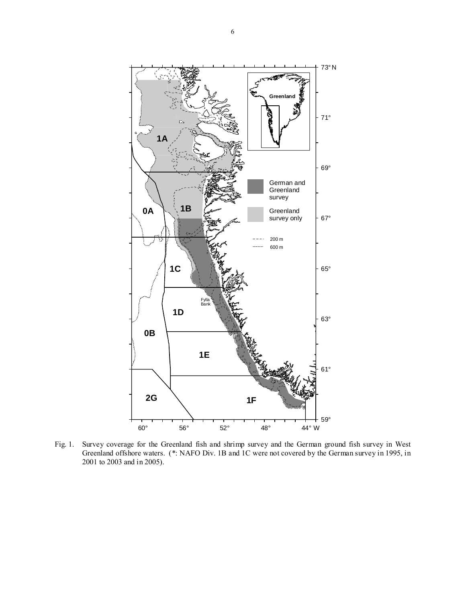

Fig. 1. Survey coverage for the Greenland fish and shrimp survey and the German ground fish survey in West Greenland offshore waters. (\*: NAFO Div. 1B and 1C were not covered by the German survey in 1995, in 2001 to 2003 and in 2005).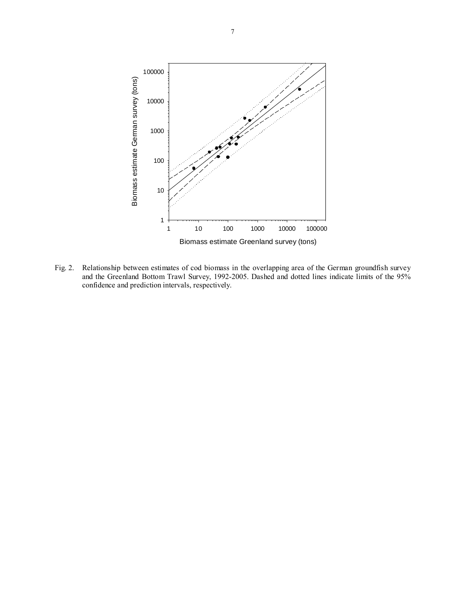

Fig. 2. Relationship between estimates of cod biomass in the overlapping area of the German groundfish survey and the Greenland Bottom Trawl Survey, 1992-2005. Dashed and dotted lines indicate limits of the 95% confidence and prediction intervals, respectively.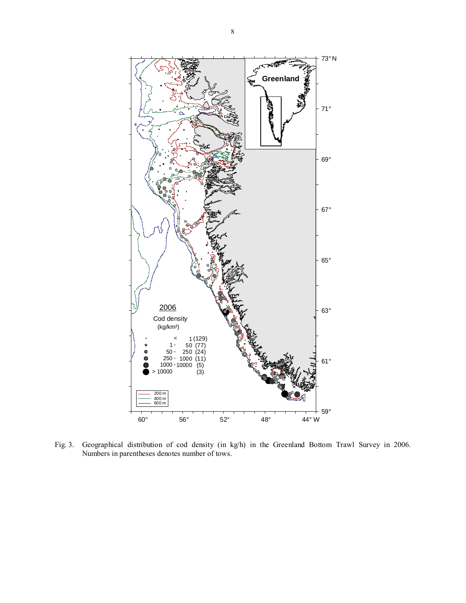

Fig. 3. Geographical distribution of cod density (in kg/h) in the Greenland Bottom Trawl Survey in 2006. Numbers in parentheses denotes number of tows.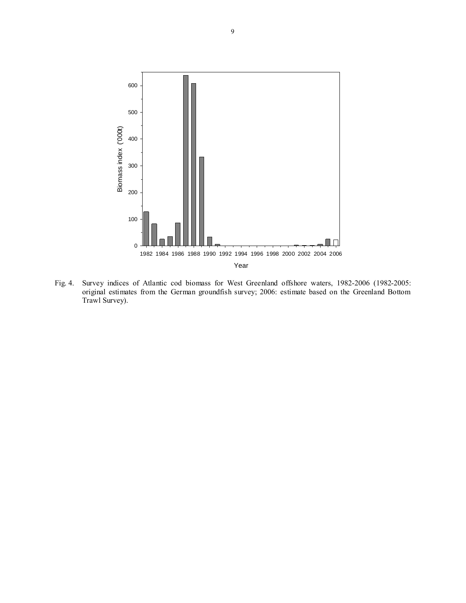

Fig. 4. Survey indices of Atlantic cod biomass for West Greenland offshore waters, 1982-2006 (1982-2005: original estimates from the German groundfish survey; 2006: estimate based on the Greenland Bottom Trawl Survey).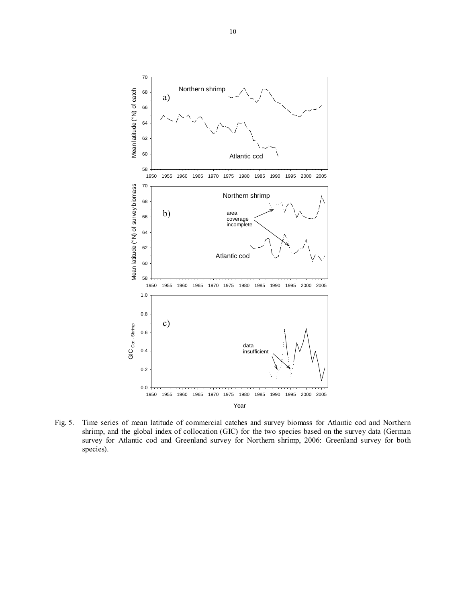

Fig. 5. Time series of mean latitude of commercial catches and survey biomass for Atlantic cod and Northern shrimp, and the global index of collocation (GIC) for the two species based on the survey data (German survey for Atlantic cod and Greenland survey for Northern shrimp, 2006: Greenland survey for both species).